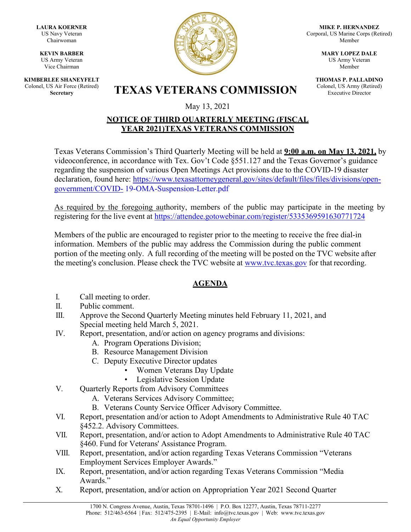**LAURA KOERNER** US Navy Veteran Chairwoman

**KEVIN BARBER** US Army Veteran Vice Chairman

**KIMBERLEE SHANEYFELT** Colonel, US Air Force (Retired)



**MIKE P. HERNANDEZ** Corporal, US Marine Corps (Retired) Member

> **MARY LOPEZ DALE** US Army Veteran Member

**THOMAS P. PALLADINO** Colonel, US Army (Retired) Executive Director

**S** Air Force (Retired) **TEXAS VETERANS COMMISSION** 

May 13, 2021

## **NOTICE OF THIRD QUARTERLY MEETING (FISCAL YEAR 2021)TEXAS VETERANS COMMISSION**

Texas Veterans Commission's Third Quarterly Meeting will be held at **9:00 a.m. on May 13, 2021,** by videoconference, in accordance with Tex. Gov't Code §551.127 and the Texas Governor's guidance regarding the suspension of various Open Meetings Act provisions due to the COVID-19 disaster declaration, found here: [https://www.texasattorneygeneral.gov/sites/default/files/files/divisions/open](https://www.texasattorneygeneral.gov/sites/default/files/files/divisions/open-government/COVID-19-OMA-Suspension-Letter.pdf)[government/COVID-](https://www.texasattorneygeneral.gov/sites/default/files/files/divisions/open-government/COVID-19-OMA-Suspension-Letter.pdf) [19-OMA-Suspension-Letter.pdf](https://www.texasattorneygeneral.gov/sites/default/files/files/divisions/open-government/COVID-19-OMA-Suspension-Letter.pdf)

As required by the foregoing authority, members of the public may participate in the meeting by registering for the live event at <https://attendee.gotowebinar.com/register/5335369591630771724>

Members of the public are encouraged to register prior to the meeting to receive the free dial-in information. Members of the public may address the Commission during the public comment portion of the meeting only. A full recording of the meeting will be posted on the TVC website after the meeting's conclusion. Please check the TVC website at [www.tvc.texas.gov](http://www.tvc.texas.gov/) for that recording.

## **AGENDA**

- I. Call meeting to order.
- II. Public comment.
- III. Approve the Second Quarterly Meeting minutes held February 11, 2021, and Special meeting held March 5, 2021.
- IV. Report, presentation, and/or action on agency programs and divisions:
	- A. Program Operations Division;
	- B. Resource Management Division
	- C. Deputy Executive Director updates
		- Women Veterans Day Update
		- Legislative Session Update
- V. Quarterly Reports from Advisory Committees
	- A. Veterans Services Advisory Committee;
	- B. Veterans County Service Officer Advisory Committee.
- VI. Report, presentation and/or action to Adopt Amendments to Administrative Rule 40 TAC §452.2. Advisory Committees.
- VII. Report, presentation, and/or action to Adopt Amendments to Administrative Rule 40 TAC §460. Fund for Veterans' Assistance Program.
- VIII. Report, presentation, and/or action regarding Texas Veterans Commission "Veterans Employment Services Employer Awards."
- IX. Report, presentation, and/or action regarding Texas Veterans Commission "Media Awards."
- X. Report, presentation, and/or action on Appropriation Year 2021 Second Quarter